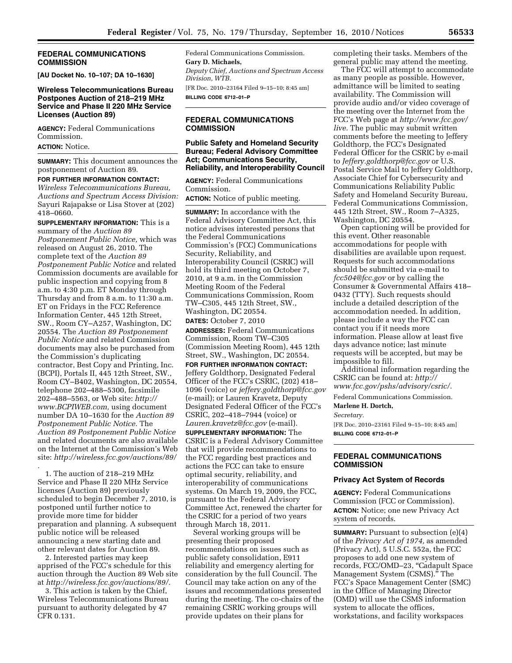## **FEDERAL COMMUNICATIONS COMMISSION**

**[AU Docket No. 10–107; DA 10–1630]** 

## **Wireless Telecommunications Bureau Postpones Auction of 218–219 MHz Service and Phase II 220 MHz Service Licenses (Auction 89)**

**AGENCY:** Federal Communications Commission.

**ACTION:** Notice.

**SUMMARY:** This document announces the postponement of Auction 89.

# **FOR FURTHER INFORMATION CONTACT:**

*Wireless Telecommunications Bureau, Auctions and Spectrum Access Division:*  Sayuri Rajapakse or Lisa Stover at (202) 418–0660.

**SUPPLEMENTARY INFORMATION:** This is a summary of the *Auction 89 Postponement Public Notice,* which was released on August 26, 2010. The complete text of the *Auction 89 Postponement Public Notice* and related Commission documents are available for public inspection and copying from 8 a.m. to 4:30 p.m. ET Monday through Thursday and from 8 a.m. to 11:30 a.m. ET on Fridays in the FCC Reference Information Center, 445 12th Street, SW., Room CY–A257, Washington, DC 20554. The *Auction 89 Postponement Public Notice* and related Commission documents may also be purchased from the Commission's duplicating contractor, Best Copy and Printing, Inc. (BCPI), Portals II, 445 12th Street, SW., Room CY–B402, Washington, DC 20554, telephone 202–488–5300, facsimile 202–488–5563, or Web site: *http:// www.BCPIWEB.com,* using document number DA 10–1630 for the *Auction 89 Postponement Public Notice.* The *Auction 89 Postponement Public Notice*  and related documents are also available on the Internet at the Commission's Web site: *http://wireless.fcc.gov/auctions/89/* 

1. The auction of 218–219 MHz Service and Phase II 220 MHz Service licenses (Auction 89) previously scheduled to begin December 7, 2010, is postponed until further notice to provide more time for bidder preparation and planning. A subsequent public notice will be released announcing a new starting date and other relevant dates for Auction 89.

*.* 

2. Interested parties may keep apprised of the FCC's schedule for this auction through the Auction 89 Web site at *http://wireless.fcc.gov/auctions/89/.* 

3. This action is taken by the Chief, Wireless Telecommunications Bureau pursuant to authority delegated by 47 CFR 0.131.

Federal Communications Commission. **Gary D. Michaels,**  *Deputy Chief, Auctions and Spectrum Access Division, WTB.*  [FR Doc. 2010–23164 Filed 9–15–10; 8:45 am]

**BILLING CODE 6712–01–P** 

# **FEDERAL COMMUNICATIONS COMMISSION**

# **Public Safety and Homeland Security Bureau; Federal Advisory Committee Act; Communications Security, Reliability, and Interoperability Council**

**AGENCY:** Federal Communications Commission.

**ACTION:** Notice of public meeting.

**SUMMARY:** In accordance with the Federal Advisory Committee Act, this notice advises interested persons that the Federal Communications Commission's (FCC) Communications Security, Reliability, and Interoperability Council (CSRIC) will hold its third meeting on October 7, 2010, at 9 a.m. in the Commission Meeting Room of the Federal Communications Commission, Room TW–C305, 445 12th Street, SW., Washington, DC 20554.

**DATES:** October 7, 2010

**ADDRESSES:** Federal Communications Commission, Room TW–C305 (Commission Meeting Room), 445 12th Street, SW., Washington, DC 20554.

**FOR FURTHER INFORMATION CONTACT:**  Jeffery Goldthorp, Designated Federal Officer of the FCC's CSRIC, (202) 418– 1096 (voice) or *jeffery.goldthorp@fcc.gov*  (e-mail); or Lauren Kravetz, Deputy Designated Federal Officer of the FCC's CSRIC, 202–418–7944 (voice) or *Lauren.kravetz@fcc.gov* (e-mail).

**SUPPLEMENTARY INFORMATION:** The CSRIC is a Federal Advisory Committee that will provide recommendations to the FCC regarding best practices and actions the FCC can take to ensure optimal security, reliability, and interoperability of communications systems. On March 19, 2009, the FCC, pursuant to the Federal Advisory Committee Act, renewed the charter for the CSRIC for a period of two years through March 18, 2011.

Several working groups will be presenting their proposed recommendations on issues such as public safety consolidation, E911 reliability and emergency alerting for consideration by the full Council. The Council may take action on any of the issues and recommendations presented during the meeting. The co-chairs of the remaining CSRIC working groups will provide updates on their plans for

completing their tasks. Members of the general public may attend the meeting.

The FCC will attempt to accommodate as many people as possible. However, admittance will be limited to seating availability. The Commission will provide audio and/or video coverage of the meeting over the Internet from the FCC's Web page at *http://www.fcc.gov/ live.* The public may submit written comments before the meeting to Jeffery Goldthorp, the FCC's Designated Federal Officer for the CSRIC by e-mail to *Jeffery.goldthorp@fcc.gov* or U.S. Postal Service Mail to Jeffery Goldthorp, Associate Chief for Cybersecurity and Communications Reliability Public Safety and Homeland Security Bureau, Federal Communications Commission, 445 12th Street, SW., Room 7–A325, Washington, DC 20554.

Open captioning will be provided for this event. Other reasonable accommodations for people with disabilities are available upon request. Requests for such accommodations should be submitted via e-mail to *fcc504@fcc.gov* or by calling the Consumer & Governmental Affairs 418– 0432 (TTY). Such requests should include a detailed description of the accommodation needed. In addition, please include a way the FCC can contact you if it needs more information. Please allow at least five days advance notice; last minute requests will be accepted, but may be impossible to fill.

Additional information regarding the CSRIC can be found at: *http:// www.fcc.gov/pshs/advisory/csric/.* 

Federal Communications Commission.

## **Marlene H. Dortch,**

*Secretary.* 

[FR Doc. 2010–23161 Filed 9–15–10; 8:45 am] **BILLING CODE 6712–01–P** 

# **FEDERAL COMMUNICATIONS COMMISSION**

## **Privacy Act System of Records**

**AGENCY:** Federal Communications Commission (FCC or Commission). **ACTION:** Notice; one new Privacy Act system of records.

**SUMMARY:** Pursuant to subsection (e)(4) of the *Privacy Act of 1974,* as amended (Privacy Act), 5 U.S.C. 552a, the FCC proposes to add one new system of records, FCC/OMD–23, ''Cadapult Space Management System (CSMS).<sup>"</sup> The FCC's Space Management Center (SMC) in the Office of Managing Director (OMD) will use the CSMS information system to allocate the offices, workstations, and facility workspaces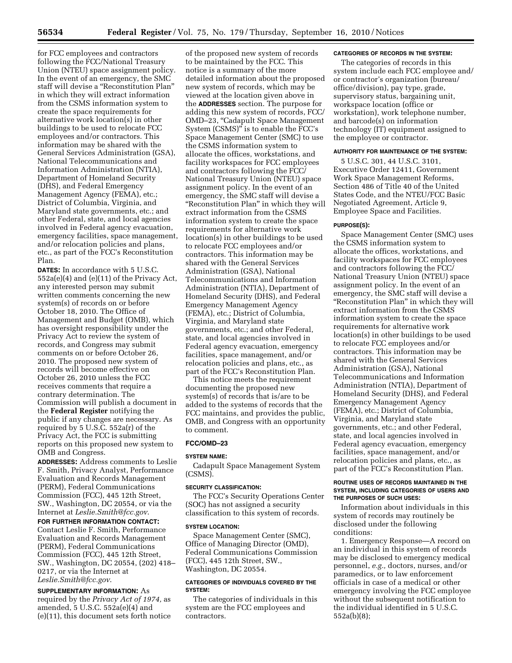for FCC employees and contractors following the FCC/National Treasury Union (NTEU) space assignment policy. In the event of an emergency, the SMC staff will devise a ''Reconstitution Plan'' in which they will extract information from the CSMS information system to create the space requirements for alternative work location(s) in other buildings to be used to relocate FCC employees and/or contractors. This information may be shared with the General Services Administration (GSA), National Telecommunications and Information Administration (NTIA), Department of Homeland Security (DHS), and Federal Emergency Management Agency (FEMA), etc.; District of Columbia, Virginia, and Maryland state governments, etc.; and other Federal, state, and local agencies involved in Federal agency evacuation, emergency facilities, space management, and/or relocation policies and plans, etc., as part of the FCC's Reconstitution Plan.

**DATES:** In accordance with 5 U.S.C. 552a(e)(4) and (e)(11) of the Privacy Act, any interested person may submit written comments concerning the new system(s) of records on or before October 18, 2010. The Office of Management and Budget (OMB), which has oversight responsibility under the Privacy Act to review the system of records, and Congress may submit comments on or before October 26, 2010. The proposed new system of records will become effective on October 26, 2010 unless the FCC receives comments that require a contrary determination. The Commission will publish a document in the **Federal Register** notifying the public if any changes are necessary. As required by 5 U.S.C. 552a(r) of the Privacy Act, the FCC is submitting reports on this proposed new system to OMB and Congress.

**ADDRESSES:** Address comments to Leslie F. Smith, Privacy Analyst, Performance Evaluation and Records Management (PERM), Federal Communications Commission (FCC), 445 12th Street, SW., Washington, DC 20554, or via the Internet at *Leslie.Smith@fcc.gov*.

**FOR FURTHER INFORMATION CONTACT:**  Contact Leslie F. Smith, Performance Evaluation and Records Management (PERM), Federal Communications Commission (FCC), 445 12th Street, SW., Washington, DC 20554, (202) 418– 0217, or via the Internet at *Leslie.Smith@fcc.gov*.

**SUPPLEMENTARY INFORMATION:** As required by the *Privacy Act of 1974,* as amended, 5 U.S.C. 552a(e)(4) and (e)(11), this document sets forth notice

of the proposed new system of records to be maintained by the FCC. This notice is a summary of the more detailed information about the proposed new system of records, which may be viewed at the location given above in the **ADDRESSES** section. The purpose for adding this new system of records, FCC/ OMD–23, ''Cadapult Space Management System (CSMS)'' is to enable the FCC's Space Management Center (SMC) to use the CSMS information system to allocate the offices, workstations, and facility workspaces for FCC employees and contractors following the FCC/ National Treasury Union (NTEU) space assignment policy. In the event of an emergency, the SMC staff will devise a "Reconstitution Plan" in which they will extract information from the CSMS information system to create the space requirements for alternative work location(s) in other buildings to be used to relocate FCC employees and/or contractors. This information may be shared with the General Services Administration (GSA), National Telecommunications and Information Administration (NTIA), Department of Homeland Security (DHS), and Federal Emergency Management Agency (FEMA), etc.; District of Columbia, Virginia, and Maryland state governments, etc.; and other Federal, state, and local agencies involved in Federal agency evacuation, emergency facilities, space management, and/or relocation policies and plans, etc., as part of the FCC's Reconstitution Plan.

This notice meets the requirement documenting the proposed new system(s) of records that is/are to be added to the systems of records that the FCC maintains, and provides the public, OMB, and Congress with an opportunity to comment.

## **FCC/OMD–23**

#### **SYSTEM NAME:**

Cadapult Space Management System (CSMS).

#### **SECURITY CLASSIFICATION:**

The FCC's Security Operations Center (SOC) has not assigned a security classification to this system of records.

#### **SYSTEM LOCATION:**

Space Management Center (SMC), Office of Managing Director (OMD), Federal Communications Commission (FCC), 445 12th Street, SW., Washington, DC 20554.

#### **CATEGORIES OF INDIVIDUALS COVERED BY THE SYSTEM:**

The categories of individuals in this system are the FCC employees and contractors.

#### **CATEGORIES OF RECORDS IN THE SYSTEM:**

The categories of records in this system include each FCC employee and/ or contractor's organization (bureau/ office/division), pay type, grade, supervisory status, bargaining unit, workspace location (office or workstation), work telephone number, and barcode(s) on information technology (IT) equipment assigned to the employee or contractor.

#### **AUTHORITY FOR MAINTENANCE OF THE SYSTEM:**

5 U.S.C. 301, 44 U.S.C. 3101, Executive Order 12411, Government Work Space Management Reforms, Section 486 of Title 40 of the United States Code, and the NTEU/FCC Basic Negotiated Agreement, Article 9, Employee Space and Facilities.

### **PURPOSE(S):**

Space Management Center (SMC) uses the CSMS information system to allocate the offices, workstations, and facility workspaces for FCC employees and contractors following the FCC/ National Treasury Union (NTEU) space assignment policy. In the event of an emergency, the SMC staff will devise a ''Reconstitution Plan'' in which they will extract information from the CSMS information system to create the space requirements for alternative work location(s) in other buildings to be used to relocate FCC employees and/or contractors. This information may be shared with the General Services Administration (GSA), National Telecommunications and Information Administration (NTIA), Department of Homeland Security (DHS), and Federal Emergency Management Agency (FEMA), etc.; District of Columbia, Virginia, and Maryland state governments, etc.; and other Federal, state, and local agencies involved in Federal agency evacuation, emergency facilities, space management, and/or relocation policies and plans, etc., as part of the FCC's Reconstitution Plan.

### **ROUTINE USES OF RECORDS MAINTAINED IN THE SYSTEM, INCLUDING CATEGORIES OF USERS AND THE PURPOSES OF SUCH USES:**

Information about individuals in this system of records may routinely be disclosed under the following conditions:

1. Emergency Response—A record on an individual in this system of records may be disclosed to emergency medical personnel, *e.g.,* doctors, nurses, and/or paramedics, or to law enforcement officials in case of a medical or other emergency involving the FCC employee without the subsequent notification to the individual identified in 5 U.S.C. 552a(b)(8);